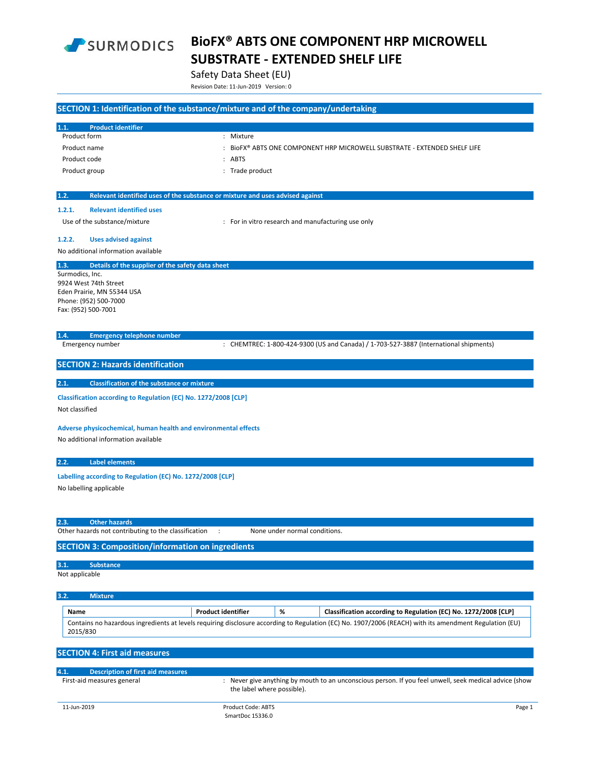

Safety Data Sheet (EU)

Revision Date: 11‐Jun‐2019 Version: 0

|                                                                                                                                | SECTION 1: Identification of the substance/mixture and of the company/undertaking                                                                      |
|--------------------------------------------------------------------------------------------------------------------------------|--------------------------------------------------------------------------------------------------------------------------------------------------------|
| <b>Product identifier</b><br>1.1.                                                                                              |                                                                                                                                                        |
| Product form                                                                                                                   | : Mixture                                                                                                                                              |
| Product name                                                                                                                   | : BIOFX® ABTS ONE COMPONENT HRP MICROWELL SUBSTRATE - EXTENDED SHELF LIFE                                                                              |
| Product code                                                                                                                   | : ABTS                                                                                                                                                 |
| Product group                                                                                                                  | : Trade product                                                                                                                                        |
| 1.2.                                                                                                                           | Relevant identified uses of the substance or mixture and uses advised against                                                                          |
| 1.2.1.<br><b>Relevant identified uses</b>                                                                                      |                                                                                                                                                        |
| Use of the substance/mixture                                                                                                   | : For in vitro research and manufacturing use only                                                                                                     |
| 1.2.2.<br><b>Uses advised against</b>                                                                                          |                                                                                                                                                        |
| No additional information available                                                                                            |                                                                                                                                                        |
| 1.3.<br>Surmodics, Inc.<br>9924 West 74th Street<br>Eden Prairie, MN 55344 USA<br>Phone: (952) 500-7000<br>Fax: (952) 500-7001 | Details of the supplier of the safety data sheet                                                                                                       |
| 1.4.<br><b>Emergency telephone number</b><br>Emergency number                                                                  | : CHEMTREC: 1-800-424-9300 (US and Canada) / 1-703-527-3887 (International shipments)                                                                  |
|                                                                                                                                |                                                                                                                                                        |
| <b>SECTION 2: Hazards identification</b>                                                                                       |                                                                                                                                                        |
| 2.1.                                                                                                                           | <b>Classification of the substance or mixture</b>                                                                                                      |
| Not classified                                                                                                                 | Classification according to Regulation (EC) No. 1272/2008 [CLP]                                                                                        |
| No additional information available                                                                                            | Adverse physicochemical, human health and environmental effects                                                                                        |
| 2.2.<br><b>Label elements</b>                                                                                                  |                                                                                                                                                        |
| No labelling applicable                                                                                                        | Labelling according to Regulation (EC) No. 1272/2008 [CLP]                                                                                             |
| 2.3.<br><b>Other hazards</b><br>Other hazards not contributing to the classification                                           | None under normal conditions.<br>$\ddot{\phantom{a}}$                                                                                                  |
|                                                                                                                                | <b>SECTION 3: Composition/information on ingredients</b>                                                                                               |
| 3.1.<br><b>Substance</b><br>Not applicable                                                                                     |                                                                                                                                                        |
| 3.2.<br><b>Mixture</b>                                                                                                         |                                                                                                                                                        |
| Name                                                                                                                           | <b>Product identifier</b><br>%<br>Classification according to Regulation (EC) No. 1272/2008 [CLP]                                                      |
| 2015/830                                                                                                                       | Contains no hazardous ingredients at levels requiring disclosure according to Regulation (EC) No. 1907/2006 (REACH) with its amendment Regulation (EU) |
| <b>SECTION 4: First aid measures</b>                                                                                           |                                                                                                                                                        |
| 4.1.<br><b>Description of first aid measures</b>                                                                               |                                                                                                                                                        |
| First-aid measures general                                                                                                     | : Never give anything by mouth to an unconscious person. If you feel unwell, seek medical advice (show<br>the label where possible).                   |
| 11-Jun-2019                                                                                                                    | Product Code: ABTS<br>Page 1                                                                                                                           |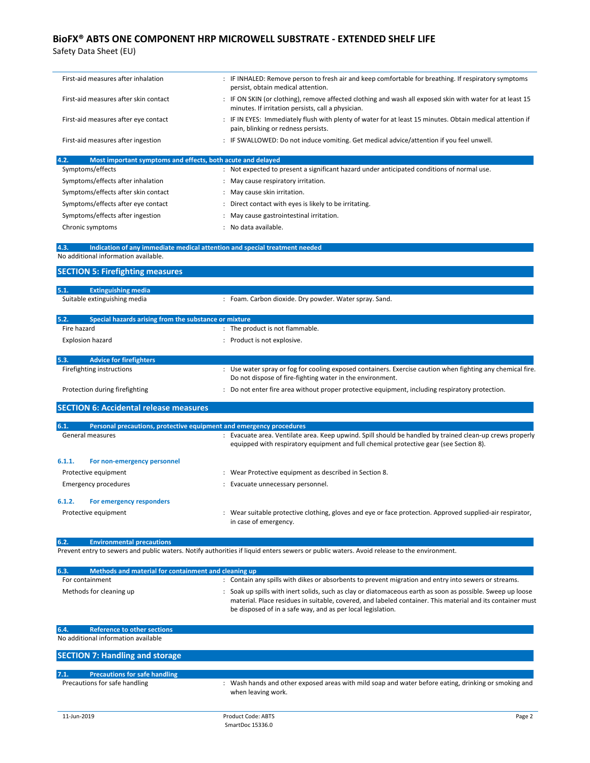| First-aid measures after inhalation                                             | : IF INHALED: Remove person to fresh air and keep comfortable for breathing. If respiratory symptoms<br>persist, obtain medical attention.                                                                                                                                              |  |  |
|---------------------------------------------------------------------------------|-----------------------------------------------------------------------------------------------------------------------------------------------------------------------------------------------------------------------------------------------------------------------------------------|--|--|
| First-aid measures after skin contact                                           | : IF ON SKIN (or clothing), remove affected clothing and wash all exposed skin with water for at least 15<br>minutes. If irritation persists, call a physician.                                                                                                                         |  |  |
| First-aid measures after eye contact                                            | : IF IN EYES: Immediately flush with plenty of water for at least 15 minutes. Obtain medical attention if<br>pain, blinking or redness persists.                                                                                                                                        |  |  |
| First-aid measures after ingestion                                              | : IF SWALLOWED: Do not induce vomiting. Get medical advice/attention if you feel unwell.                                                                                                                                                                                                |  |  |
| 4.2.<br>Most important symptoms and effects, both acute and delayed             |                                                                                                                                                                                                                                                                                         |  |  |
| Symptoms/effects                                                                | : Not expected to present a significant hazard under anticipated conditions of normal use.                                                                                                                                                                                              |  |  |
| Symptoms/effects after inhalation                                               | : May cause respiratory irritation.                                                                                                                                                                                                                                                     |  |  |
| Symptoms/effects after skin contact                                             | : May cause skin irritation.                                                                                                                                                                                                                                                            |  |  |
| Symptoms/effects after eye contact                                              | : Direct contact with eyes is likely to be irritating.                                                                                                                                                                                                                                  |  |  |
| Symptoms/effects after ingestion<br>Chronic symptoms                            | : May cause gastrointestinal irritation.<br>: No data available.                                                                                                                                                                                                                        |  |  |
| 4.3.                                                                            | Indication of any immediate medical attention and special treatment needed                                                                                                                                                                                                              |  |  |
| No additional information available.                                            |                                                                                                                                                                                                                                                                                         |  |  |
| <b>SECTION 5: Firefighting measures</b>                                         |                                                                                                                                                                                                                                                                                         |  |  |
| 5.1.<br><b>Extinguishing media</b>                                              |                                                                                                                                                                                                                                                                                         |  |  |
| Suitable extinguishing media                                                    | : Foam. Carbon dioxide. Dry powder. Water spray. Sand.                                                                                                                                                                                                                                  |  |  |
| 5.2.<br>Special hazards arising from the substance or mixture                   |                                                                                                                                                                                                                                                                                         |  |  |
| Fire hazard                                                                     | : The product is not flammable.                                                                                                                                                                                                                                                         |  |  |
| <b>Explosion hazard</b>                                                         | : Product is not explosive.                                                                                                                                                                                                                                                             |  |  |
| 5.3.<br><b>Advice for firefighters</b>                                          |                                                                                                                                                                                                                                                                                         |  |  |
| Firefighting instructions                                                       | : Use water spray or fog for cooling exposed containers. Exercise caution when fighting any chemical fire.<br>Do not dispose of fire-fighting water in the environment.                                                                                                                 |  |  |
| Protection during firefighting                                                  | : Do not enter fire area without proper protective equipment, including respiratory protection.                                                                                                                                                                                         |  |  |
| <b>SECTION 6: Accidental release measures</b>                                   |                                                                                                                                                                                                                                                                                         |  |  |
| 6.1.                                                                            | Personal precautions, protective equipment and emergency procedures                                                                                                                                                                                                                     |  |  |
| General measures                                                                | : Evacuate area. Ventilate area. Keep upwind. Spill should be handled by trained clean-up crews properly<br>equipped with respiratory equipment and full chemical protective gear (see Section 8).                                                                                      |  |  |
| 6.1.1.<br>For non-emergency personnel                                           |                                                                                                                                                                                                                                                                                         |  |  |
| Protective equipment                                                            | : Wear Protective equipment as described in Section 8.                                                                                                                                                                                                                                  |  |  |
| <b>Emergency procedures</b>                                                     | : Evacuate unnecessary personnel.                                                                                                                                                                                                                                                       |  |  |
| 6.1.2.<br>For emergency responders                                              |                                                                                                                                                                                                                                                                                         |  |  |
| Protective equipment                                                            | : Wear suitable protective clothing, gloves and eye or face protection. Approved supplied-air respirator,<br>in case of emergency.                                                                                                                                                      |  |  |
| 6.2.<br><b>Environmental precautions</b>                                        |                                                                                                                                                                                                                                                                                         |  |  |
|                                                                                 | Prevent entry to sewers and public waters. Notify authorities if liquid enters sewers or public waters. Avoid release to the environment.                                                                                                                                               |  |  |
| 6.3.<br>Methods and material for containment and cleaning up<br>For containment |                                                                                                                                                                                                                                                                                         |  |  |
|                                                                                 | : Contain any spills with dikes or absorbents to prevent migration and entry into sewers or streams.                                                                                                                                                                                    |  |  |
| Methods for cleaning up                                                         | : Soak up spills with inert solids, such as clay or diatomaceous earth as soon as possible. Sweep up loose<br>material. Place residues in suitable, covered, and labeled container. This material and its container must<br>be disposed of in a safe way, and as per local legislation. |  |  |
| 6.4.<br><b>Reference to other sections</b>                                      |                                                                                                                                                                                                                                                                                         |  |  |
| No additional information available                                             |                                                                                                                                                                                                                                                                                         |  |  |
|                                                                                 |                                                                                                                                                                                                                                                                                         |  |  |

| <b>SECTION 7: Handling and storage</b> |                                      |  |                                                                                                                            |  |
|----------------------------------------|--------------------------------------|--|----------------------------------------------------------------------------------------------------------------------------|--|
| 7.1.                                   | <b>Precautions for safe handling</b> |  |                                                                                                                            |  |
|                                        |                                      |  |                                                                                                                            |  |
|                                        | Precautions for safe handling        |  | : Wash hands and other exposed areas with mild soap and water before eating, drinking or smoking and<br>when leaving work. |  |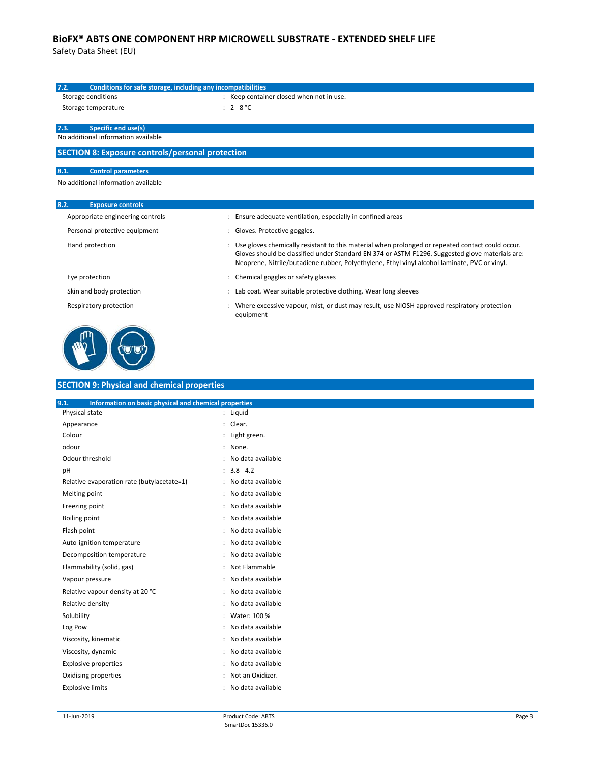| 7.2.<br>Conditions for safe storage, including any incompatibilities<br>Storage conditions                          | : Keep container closed when not in use.                                                                                                                                                                                                                                                               |
|---------------------------------------------------------------------------------------------------------------------|--------------------------------------------------------------------------------------------------------------------------------------------------------------------------------------------------------------------------------------------------------------------------------------------------------|
| Storage temperature                                                                                                 | : $2 - 8 °C$                                                                                                                                                                                                                                                                                           |
|                                                                                                                     |                                                                                                                                                                                                                                                                                                        |
| 7.3.<br>Specific end use(s)                                                                                         |                                                                                                                                                                                                                                                                                                        |
| No additional information available                                                                                 |                                                                                                                                                                                                                                                                                                        |
| <b>SECTION 8: Exposure controls/personal protection</b>                                                             |                                                                                                                                                                                                                                                                                                        |
| 8.1.<br><b>Control parameters</b>                                                                                   |                                                                                                                                                                                                                                                                                                        |
| No additional information available                                                                                 |                                                                                                                                                                                                                                                                                                        |
|                                                                                                                     |                                                                                                                                                                                                                                                                                                        |
| 8.2.<br><b>Exposure controls</b>                                                                                    |                                                                                                                                                                                                                                                                                                        |
| Appropriate engineering controls                                                                                    | : Ensure adequate ventilation, especially in confined areas                                                                                                                                                                                                                                            |
| Personal protective equipment                                                                                       | : Gloves. Protective goggles.                                                                                                                                                                                                                                                                          |
| Hand protection                                                                                                     | : Use gloves chemically resistant to this material when prolonged or repeated contact could occur.<br>Gloves should be classified under Standard EN 374 or ASTM F1296. Suggested glove materials are:<br>Neoprene, Nitrile/butadiene rubber, Polyethylene, Ethyl vinyl alcohol laminate, PVC or vinyl. |
|                                                                                                                     |                                                                                                                                                                                                                                                                                                        |
| Eye protection                                                                                                      | : Chemical goggles or safety glasses                                                                                                                                                                                                                                                                   |
| Skin and body protection                                                                                            | : Lab coat. Wear suitable protective clothing. Wear long sleeves                                                                                                                                                                                                                                       |
| Respiratory protection                                                                                              | : Where excessive vapour, mist, or dust may result, use NIOSH approved respiratory protection<br>equipment                                                                                                                                                                                             |
|                                                                                                                     |                                                                                                                                                                                                                                                                                                        |
| <b>SECTION 9: Physical and chemical properties</b><br>9.1.<br>Information on basic physical and chemical properties |                                                                                                                                                                                                                                                                                                        |
| Physical state                                                                                                      | : Liquid                                                                                                                                                                                                                                                                                               |
| Appearance                                                                                                          | : Clear.                                                                                                                                                                                                                                                                                               |
| Colour                                                                                                              | : Light green.                                                                                                                                                                                                                                                                                         |
| odour                                                                                                               | : None.                                                                                                                                                                                                                                                                                                |
|                                                                                                                     | : No data available                                                                                                                                                                                                                                                                                    |
|                                                                                                                     | $: 3.8 - 4.2$                                                                                                                                                                                                                                                                                          |
| Odour threshold<br>pH<br>Relative evaporation rate (butylacetate=1)                                                 | : No data available                                                                                                                                                                                                                                                                                    |
| Melting point                                                                                                       | : No data available                                                                                                                                                                                                                                                                                    |
| Freezing point                                                                                                      | No data available<br>$\ddot{\phantom{a}}$                                                                                                                                                                                                                                                              |
| <b>Boiling point</b>                                                                                                | No data available<br>$\ddot{\phantom{a}}$                                                                                                                                                                                                                                                              |
| Flash point                                                                                                         | No data available<br>$\ddot{\phantom{a}}$                                                                                                                                                                                                                                                              |
| Auto-ignition temperature                                                                                           | : No data available                                                                                                                                                                                                                                                                                    |
|                                                                                                                     | : No data available<br>$\ddot{\cdot}$                                                                                                                                                                                                                                                                  |
|                                                                                                                     | Not Flammable<br>No data available                                                                                                                                                                                                                                                                     |
| Decomposition temperature<br>Flammability (solid, gas)<br>Vapour pressure                                           | $\ddot{\phantom{a}}$<br>: No data available                                                                                                                                                                                                                                                            |
|                                                                                                                     | : No data available                                                                                                                                                                                                                                                                                    |
| Relative vapour density at 20 °C<br>Relative density                                                                | : Water: 100 %                                                                                                                                                                                                                                                                                         |
| Solubility<br>Log Pow                                                                                               | No data available<br>÷                                                                                                                                                                                                                                                                                 |
| Viscosity, kinematic                                                                                                | No data available<br>$\ddot{\phantom{a}}$                                                                                                                                                                                                                                                              |
| Viscosity, dynamic                                                                                                  | No data available<br>÷                                                                                                                                                                                                                                                                                 |
| <b>Explosive properties</b>                                                                                         | No data available<br>÷                                                                                                                                                                                                                                                                                 |
| Oxidising properties                                                                                                | : Not an Oxidizer.                                                                                                                                                                                                                                                                                     |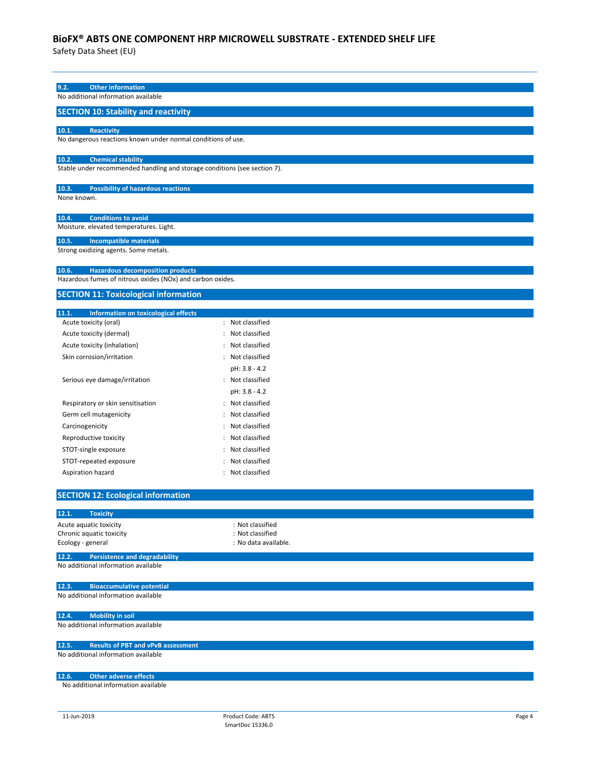| 9.2.<br><b>Other information</b>                                                     |                                          |  |
|--------------------------------------------------------------------------------------|------------------------------------------|--|
| No additional information available                                                  |                                          |  |
| <b>SECTION 10: Stability and reactivity</b>                                          |                                          |  |
|                                                                                      |                                          |  |
| 10.1.<br><b>Reactivity</b>                                                           |                                          |  |
| No dangerous reactions known under normal conditions of use.                         |                                          |  |
| 10.2.<br><b>Chemical stability</b>                                                   |                                          |  |
| Stable under recommended handling and storage conditions (see section 7).            |                                          |  |
|                                                                                      |                                          |  |
| 10.3.<br><b>Possibility of hazardous reactions</b>                                   |                                          |  |
| None known.                                                                          |                                          |  |
| 10.4.<br><b>Conditions to avoid</b>                                                  |                                          |  |
| Moisture. elevated temperatures. Light.                                              |                                          |  |
| 10.5.<br><b>Incompatible materials</b>                                               |                                          |  |
| Strong oxidizing agents. Some metals.                                                |                                          |  |
|                                                                                      |                                          |  |
| 10.6.<br><b>Hazardous decomposition products</b>                                     |                                          |  |
| Hazardous fumes of nitrous oxides (NOx) and carbon oxides.                           |                                          |  |
| <b>SECTION 11: Toxicological information</b>                                         |                                          |  |
|                                                                                      |                                          |  |
| 11.1.<br>Information on toxicological effects<br>Acute toxicity (oral)               | : Not classified                         |  |
| Acute toxicity (dermal)                                                              | : Not classified                         |  |
|                                                                                      | : Not classified                         |  |
| Acute toxicity (inhalation)                                                          | : Not classified                         |  |
| Skin corrosion/irritation                                                            |                                          |  |
|                                                                                      | pH: 3.8 - 4.2                            |  |
| Serious eye damage/irritation                                                        | : Not classified                         |  |
|                                                                                      | pH: 3.8 - 4.2                            |  |
| Respiratory or skin sensitisation                                                    | : Not classified                         |  |
| Germ cell mutagenicity                                                               | : Not classified                         |  |
| Carcinogenicity                                                                      | : Not classified                         |  |
| Reproductive toxicity                                                                | : Not classified                         |  |
| STOT-single exposure                                                                 | : Not classified                         |  |
| STOT-repeated exposure                                                               | Not classified                           |  |
| Aspiration hazard                                                                    | : Not classified                         |  |
| <b>SECTION 12: Ecological information</b>                                            |                                          |  |
|                                                                                      |                                          |  |
| 12.1.<br><b>Toxicity</b>                                                             |                                          |  |
| Acute aquatic toxicity                                                               | : Not classified                         |  |
| Chronic aquatic toxicity<br>Ecology - general                                        | : Not classified<br>: No data available. |  |
|                                                                                      |                                          |  |
| 12.2.<br><b>Persistence and degradability</b><br>No additional information available |                                          |  |
|                                                                                      |                                          |  |
| 12.3.<br><b>Bioaccumulative potential</b>                                            |                                          |  |
| No additional information available                                                  |                                          |  |
|                                                                                      |                                          |  |
| <b>Mobility in soil</b><br>12.4.                                                     |                                          |  |
| No additional information available                                                  |                                          |  |
| 12.5.<br><b>Results of PBT and vPvB assessment</b>                                   |                                          |  |
| No additional information available                                                  |                                          |  |
|                                                                                      |                                          |  |
| 12.6.<br><b>Other adverse effects</b>                                                |                                          |  |
| No additional information available                                                  |                                          |  |
|                                                                                      |                                          |  |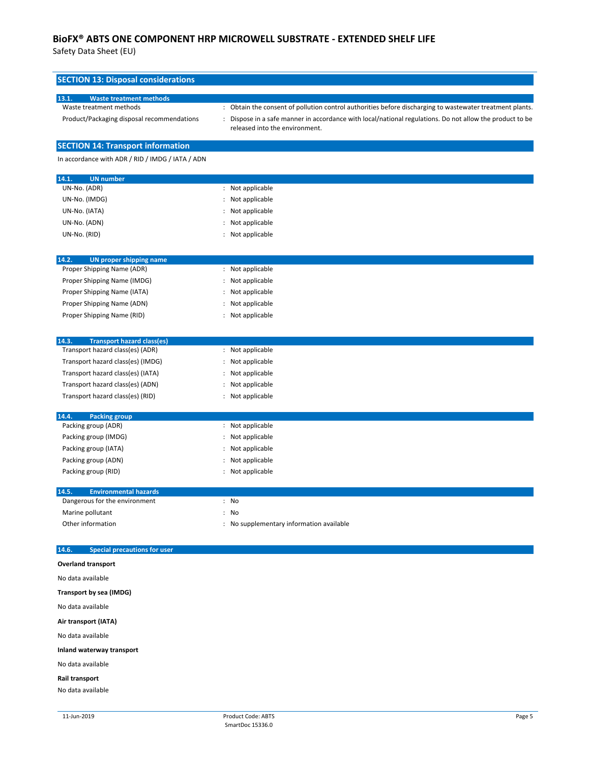| <b>SECTION 13: Disposal considerations</b>                            |                                                                                                                                                                                                                                                        |  |  |  |
|-----------------------------------------------------------------------|--------------------------------------------------------------------------------------------------------------------------------------------------------------------------------------------------------------------------------------------------------|--|--|--|
| 13.1.<br><b>Waste treatment methods</b>                               |                                                                                                                                                                                                                                                        |  |  |  |
| Waste treatment methods<br>Product/Packaging disposal recommendations | : Obtain the consent of pollution control authorities before discharging to wastewater treatment plants.<br>: Dispose in a safe manner in accordance with local/national regulations. Do not allow the product to be<br>released into the environment. |  |  |  |
| <b>SECTION 14: Transport information</b>                              |                                                                                                                                                                                                                                                        |  |  |  |
| In accordance with ADR / RID / IMDG / IATA / ADN                      |                                                                                                                                                                                                                                                        |  |  |  |
| 14.1.<br><b>UN</b> number                                             |                                                                                                                                                                                                                                                        |  |  |  |
| UN-No. (ADR)                                                          | : Not applicable                                                                                                                                                                                                                                       |  |  |  |
| UN-No. (IMDG)                                                         | : Not applicable                                                                                                                                                                                                                                       |  |  |  |
| UN-No. (IATA)                                                         | : Not applicable                                                                                                                                                                                                                                       |  |  |  |
| UN-No. (ADN)                                                          | : Not applicable                                                                                                                                                                                                                                       |  |  |  |
| UN-No. (RID)                                                          | : Not applicable                                                                                                                                                                                                                                       |  |  |  |
| 14.2.<br><b>UN proper shipping name</b>                               |                                                                                                                                                                                                                                                        |  |  |  |
| Proper Shipping Name (ADR)                                            | : Not applicable                                                                                                                                                                                                                                       |  |  |  |
| Proper Shipping Name (IMDG)                                           | : Not applicable                                                                                                                                                                                                                                       |  |  |  |
| Proper Shipping Name (IATA)                                           | : Not applicable                                                                                                                                                                                                                                       |  |  |  |
| Proper Shipping Name (ADN)                                            | : Not applicable                                                                                                                                                                                                                                       |  |  |  |
| Proper Shipping Name (RID)                                            | : Not applicable                                                                                                                                                                                                                                       |  |  |  |
| 14.3.<br><b>Transport hazard class(es)</b>                            |                                                                                                                                                                                                                                                        |  |  |  |
| Transport hazard class(es) (ADR)                                      | : Not applicable                                                                                                                                                                                                                                       |  |  |  |
| Transport hazard class(es) (IMDG)                                     | : Not applicable                                                                                                                                                                                                                                       |  |  |  |
| Transport hazard class(es) (IATA)                                     | : Not applicable                                                                                                                                                                                                                                       |  |  |  |
| Transport hazard class(es) (ADN)                                      | : Not applicable                                                                                                                                                                                                                                       |  |  |  |
| Transport hazard class(es) (RID)                                      | : Not applicable                                                                                                                                                                                                                                       |  |  |  |
| 14.4.<br><b>Packing group</b>                                         |                                                                                                                                                                                                                                                        |  |  |  |
| Packing group (ADR)                                                   | : Not applicable                                                                                                                                                                                                                                       |  |  |  |
| Packing group (IMDG)                                                  | : Not applicable                                                                                                                                                                                                                                       |  |  |  |
| Packing group (IATA)                                                  | : Not applicable<br>: Not applicable                                                                                                                                                                                                                   |  |  |  |
| Packing group (ADN)<br>Packing group (RID)                            | : Not applicable                                                                                                                                                                                                                                       |  |  |  |
| 14.5.<br><b>Environmental hazards</b>                                 |                                                                                                                                                                                                                                                        |  |  |  |
| Dangerous for the environment                                         | : No                                                                                                                                                                                                                                                   |  |  |  |
| Marine pollutant                                                      | : No                                                                                                                                                                                                                                                   |  |  |  |
| Other information                                                     | : No supplementary information available                                                                                                                                                                                                               |  |  |  |
| <b>Special precautions for user</b><br>14.6.                          |                                                                                                                                                                                                                                                        |  |  |  |
| <b>Overland transport</b>                                             |                                                                                                                                                                                                                                                        |  |  |  |
| No data available                                                     |                                                                                                                                                                                                                                                        |  |  |  |
| Transport by sea (IMDG)                                               |                                                                                                                                                                                                                                                        |  |  |  |
| No data available                                                     |                                                                                                                                                                                                                                                        |  |  |  |
| Air transport (IATA)                                                  |                                                                                                                                                                                                                                                        |  |  |  |
| No data available                                                     |                                                                                                                                                                                                                                                        |  |  |  |
| Inland waterway transport                                             |                                                                                                                                                                                                                                                        |  |  |  |
| No data available                                                     |                                                                                                                                                                                                                                                        |  |  |  |
| Rail transport                                                        |                                                                                                                                                                                                                                                        |  |  |  |
| No data available                                                     |                                                                                                                                                                                                                                                        |  |  |  |